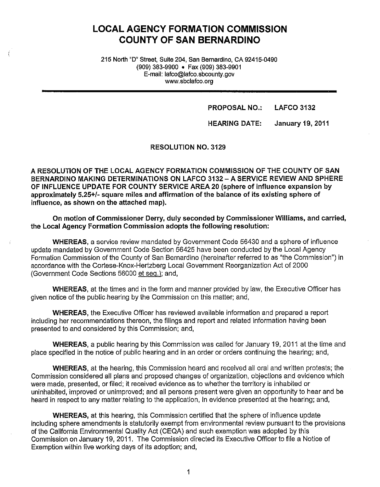# **LOCAL AGENCY FORMATION COMMISSION COUNTY OF SAN BERNARDINO**

215 North "D" Street, Suite 204, San Bernardino, CA 92415-0490 (909) 383-9900 • Fax (909) 383-9901 E-mail: lafco@lafco.sbcounty.gov www.sbclafco.org

### **PROPOSAL NO.: LAFCO 3132**

### **HEARING DATE: January 19, 2011**

### **RESOLUTION NO. 3129**

**A RESOLUTION OF THE LOCAL AGENCY FORMATION COMMISSION OF THE COUNTY OF SAN BERNARDINO MAKING DETERMINATIONS ON LAFCO 3132-A SERVICE REVIEW AND SPHERE OF INFLUENCE UPDATE FOR COUNTY SERVICE AREA 20 (sphere of influence expansion by approximately 5.25+/- square miles and affirmation of the balance of its existing sphere of influence, as shown on the attached map).** 

**On motion of Commissioner Derry, duly seconded by Commissioner Williams, and carried, the Local Agency Formation Commission adopts the following resolution:** 

**WHEREAS,** a service review mandated by Government Code 56430 and a sphere of influence update mandated by Government Code Section 56425 have been conducted by the Local Agency Formation Commission of the County of San Bernardino (hereinafter referred to as "the Commission") in accordance with the Cortese-Knox-Hertzberg Local Government Reorganization Act of 2000 (Government Code Sections 56000 et seq.): and,

**WHEREAS,** at the times and in the form and manner provided by law, the Executive Officer has given notice of the public hearing by the Commission on this matter; and,

**WHEREAS,** the Executive Officer has reviewed available information and prepared a report including her recommendations thereon, the filings and report and related information having been presented to and considered by this Commission; and,

**WHEREAS,** a public hearing by this Commission was called for January 19, 2011 at the time and place specified in the notice of public hearing and in an order or orders continuing the hearing; and,

**WHEREAS,** at the hearing, this Commission heard and received all oral and written protests; the Commission considered all plans and proposed changes of organization, objections and evidence which were made, presented, or filed; it received evidence as to whether the territory is inhabited or uninhabited, improved or unimproved; and all persons present were given an opportunity to hear and be heard in respect to any matter relating to the application, in evidence presented at the hearing; and,

**WHEREAS,** at this hearing, this Commission certified that the sphere of influence update including sphere amendments is statutorily exempt from environmental review pursuant to the provisions of the California Environmental Quality Act (CEQA) and such exemption was adopted by this Commission on January 19, 2011. The Commission directed its Executive Officer to file a Notice of Exemption within five working days of its adoption; and,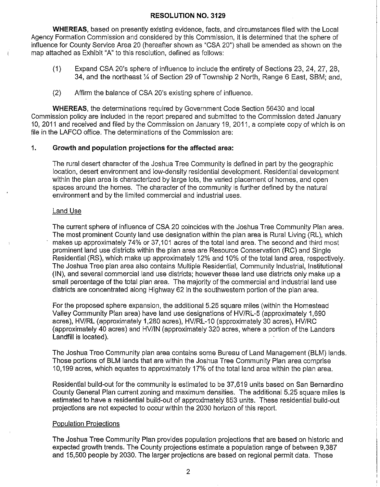**WHEREAS,** based on presently existing evidence, facts, and circumstances filed with the Local Agency Formation Commission and considered by this Commission, it is determined that the sphere of influence for County Service Area 20 (hereafter shown as "CSA 20") shall be amended as shown on the map attached as Exhibit "A" to this resolution, defined as follows:

- (1) Expand CSA 20's sphere of influence to include the entirety of Sections 23, 24, 27, 28, 34, and the northeast ¼ of Section 29 of Township 2 North, Range 6 East, SBM; and,
- (2) Affirm the balance of CSA 20's existing sphere of influence.

**WHEREAS,** the determinations required by Government Code Section 56430 and local Commission policy are included in the report prepared and submitted to the Commission dated January 10, 2011 and received and filed by the Commission on January 19, 2011, a complete copy of which is on file in the LAFCO office. The determinations of the Commission are:

### **1. Growth and population projections for the affected area:**

The rural desert character of the Joshua Tree Community is defined in part by the geographic location, desert environment and low-density residential development. Residential development within the plan area is characterized by large lots, the varied placement of homes, and open spaces around the homes. The character of the community is further defined by the natural environment and by the limited commercial and industrial uses.

### Land Use

The current sphere of influence of CSA 20 coincides with the Joshua Tree Community Plan area. The most prominent County land use designation within the plan area is Rural Living (RL), which makes up approximately 74% or 37,101 acres of the total land area. The second and third most prominent land use districts within the plan area are Resource Conservation (RC) and Single Residential (RS), which make up approximately 12% and 10% of the total land area, respectively. The Joshua Tree plan area also contains Multiple Residential, Community Industrial, Institutional **(IN),** and several commercial land use districts; however these land use districts only make up a small percentage of the total plan area. The majority of the commercial and industrial land use districts are concentrated along Highway 62 in the southwestern portion of the plan area.

For the proposed sphere expansion, the additional 5.25 square miles (within the Homestead Valley Community Plan area) have land use designations of HV/RL-5 (approximately 1,690 acres), HV/RL (approximately 1,280 acres), HV/RL-10 (approximately 30 acres), HV/RC (approximately 40 acres) and HV/IN (approximately 320 acres, where a portion of the Landers Landfill is located).

The Joshua Tree Community plan area contains some Bureau of Land Management (BLM) lands. Those portions of BLM lands that are within the Joshua Tree Community Plan area comprise 10,199 acres, which equates to approximately 17% of the total land area within the plan area.

Residential build-out for the community is estimated to be 37,619 units based on San Bernardino County General Plan current zoning and maximum densities. The additional 5.25 square miles is estimated to have a residential build-out of approximately 853 units. These residential build-out projections are not expected to occur within the 2030 horizon of this report.

### Population Projections

The Joshua Tree Community Plan provides population projections that are based on historic and expected growth trends. The County projections estimate a population range of between 9,387 and 15,500 people by 2030. The larger projections are based on regional permit data. These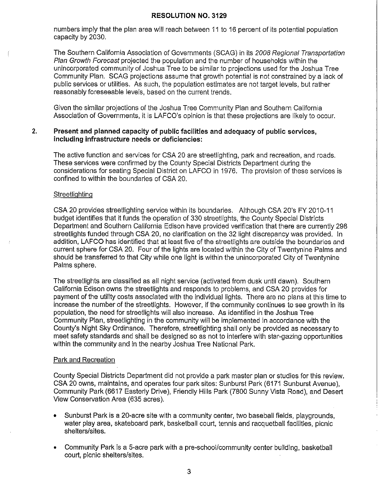numbers imply that the plan area will reach between 11 to 16 percent of its potential population capacity by 2030.

The Southern California Association of Governments (SCAG) in its 2008 Regional Transportation Plan Growth Forecast projected the population and the number of households within the unincorporated community of Joshua Tree to be similar to projections used for the Joshua Tree Community Plan. SCAG projections assume that growth potential is not constrained by a lack of public services or utilities. As such, the population estimates are not target levels, but rather reasonably foreseeable levels, based on the current trends.

Given the similar projections of the Joshua Tree Community Plan and Southern California Association of Governments, it is LAFCO's opinion is that these projections are likely to occur.

### **2. Present and planned capacity of public facilities and adequacy of public services, including infrastructure needs or deficiencies:**

The active function and services for CSA 20 are streetlighting, park and recreation, and roads. These services were confirmed by the County Special Districts Department during the considerations for seating Special District on LAFCO in 1976. The provision of these services is confined to within the boundaries of CSA 20.

### **Streetlighting**

CSA 20 provides streetlighting service within its boundaries. Although CSA 20's FY 2010-11 budget identifies that it funds the operation of 330 streetlights, the County Special Districts Department and Southern California Edison have provided verification that there are currently 298 streetlights funded through CSA 20, no clarification on the 32 light discrepancy was provided. In addition, LAFCO has identified that at least five of the streetlights are outside the boundaries and current sphere for CSA 20. Four of the lights are located within the City of Twentynine Palms and should be transferred to that City while one light is within the unincorporated City of Twentynine Palms sphere.

The streetlights are classified as all night service (activated from dusk until dawn). Southern California Edison owns the streetlights and responds to problems, and CSA 20 provides for payment of the utility costs associated with the individual lights. There are no plans at this time to increase the number of the streetlights. However, if the community continues to see growth in its population, the need for streetlights will also increase. As identified in the Joshua Tree Community Plan, streetlighting in the community will be implemented in accordance with the County's Night Sky Ordinance. Therefore, streetlighting shall only be provided as necessary to meet safety standards and shall be designed so as not to interfere with star-gazing opportunities within the community and in the nearby Joshua Tree National Park.

### Park and Recreation

County Special Districts Department did not provide a park master plan or studies for this review. CSA 20 owns, maintains, and operates four park sites: Sunburst Park (6171 Sunburst Avenue), Community Park (6617 Easterly Drive), Friendly Hills Park (7800 Sunny Vista Road), and Desert View Conservation Area (635 acres).

- Sunburst Park is a 20-acre site with a community center, two baseball fields, playgrounds, water play area, skateboard park, basketball court, tennis and racquetball facilities, picnic shelters/sites.
- Community Park is a 5-acre park with a pre-school/community center building, basketball court, picnic shelters/sites.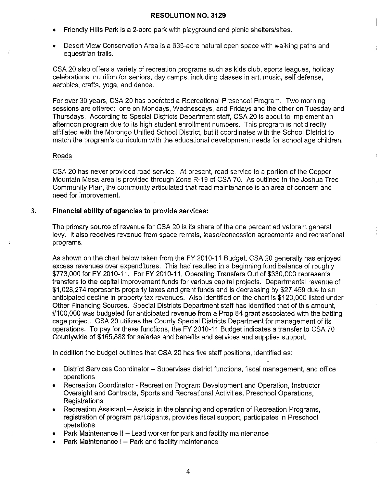- Friendly Hills Park is a 2-acre park with playground and picnic shelters/sites.
- Desert View Conservation Area is a 635-acre natural open space with walking paths and equestrian trails.

CSA 20 also offers a variety of recreation programs such as kids club, sports leagues, holiday celebrations, nutrition for seniors, day camps, including classes in art, music, self defense, aerobics, crafts, yoga, and dance.

For over 30 years, CSA 20 has operated a Recreational Preschool Program. Two morning sessions are offered: one on Mondays, Wednesdays, and Fridays and the other on Tuesday and Thursdays. According to Special Districts Department staff, CSA 20 is about to implement an afternoon program due to its high student enrollment numbers. This program is not directly affiliated with the Morongo Unified School District, but it coordinates with the School District to match the program's curriculum with the educational development needs for school age children.

### Roads

CSA 20 has never provided road service. At present, road service to a portion of the Copper Mountain Mesa area is provided through Zone R-19 of CSA 70. As outlined in the Joshua Tree Community Plan, the community articulated that road maintenance is an area of concern and need for improvement.

### **3. Financial ability of agencies to provide services:**

The primary source of revenue for CSA 20 is its share of the one percent ad valorem general levy. It also receives revenue from space rentals, lease/concession agreements and recreational programs.

As shown on the chart below taken from the FY 2010-11 Budget, CSA 20 generally has enjoyed excess revenues over expenditures. This had resulted in a beginning fund balance of roughly \$773,000 for FY 2010-11. For FY 2010-11, Operating Transfers Out of \$330,000 represents transfers to the capital improvement funds for various capital projects. Departmental revenue of \$1,028,274 represents property taxes and grant funds and is decreasing by \$27,459 due to an anticipated decline in property tax revenues. Also identified on the chart is \$120,000 listed under Other Financing Sources. Special Districts Department staff has identified that of this amount, #100,000 was budgeted for anticipated revenue from a Prop 84 grant associated with the batting cage project. CSA 20 utilizes the County Special Districts Department for management of its operations. To pay for these functions, the FY 2010-11 Budget indicates a transfer to CSA 70 Countywide of \$165,888 for salaries and benefits and services and supplies support.

In addition the budget outlines that CSA 20 has five staff positions, identified as:

- District Services Coordinator Supervises district functions, fiscal management, and office operations
- Recreation Coordinator Recreation Program Development and Operation, Instructor Oversight and Contracts, Sports and Recreational Activities, Preschool Operations, Registrations
- $R$ ecreation Assistant  $-$  Assists in the planning and operation of Recreation Programs, registration of program participants, provides fiscal support, participates in Preschool operations
- Park Maintenance  $II -$  Lead worker for park and facility maintenance
- Park Maintenance I Park and facility maintenance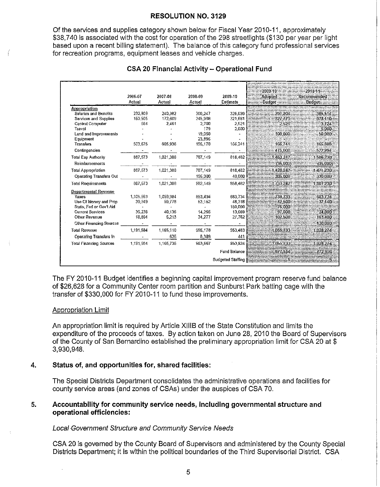Of the services and supplies category shown below for Fiscal Year 2010-11, approximately \$38.740 is associated with the cost for operation of the 298 streetlights (\$130 per year per light based upon a recent billing statement). The balance of this category fund professional services for recreation programs, equipment leases and vehicle charges.

|                                | 2006-07<br>Actual | 2007-08<br>Actual | 2008-09<br>Actual | 2009-10<br>Estimate      | 2009-10<br><b>Adopted</b><br><b>Budget</b> | 2010-11<br>Recommended<br><b>Budget</b> |
|--------------------------------|-------------------|-------------------|-------------------|--------------------------|--------------------------------------------|-----------------------------------------|
| Appropriation                  |                   |                   |                   |                          |                                            |                                         |
| Salaries and Benefits          | 232.009           | 240.382           | 300,247           | 326.039                  | 391.204                                    | 385:514                                 |
| Services and Supplies          | 150,505           | 172,609           | 245.908           | 321,681                  | 327,773                                    | 373.110.                                |
| Central Computer               | 584               | 2,461             | 2.700             | 2.521                    | 2.521                                      | 3.724                                   |
| Travel                         |                   |                   | 179               | 2,000                    |                                            | 5.000.                                  |
| Land and Improvements          |                   |                   | 19,050            |                          | 100,000                                    | 50.000                                  |
| Equipment                      |                   |                   | 23.895            |                          |                                            |                                         |
| Transfers                      | 503,675           | 605,936           | 195,170           | 166,241                  | 166,741                                    | 165,888                                 |
| Contingencies                  |                   |                   |                   |                          | 475,008                                    | 522,994                                 |
| Total Exp Authority            | 887.573           | 1,021,388         | 787, 149          | 818.482                  | 1.463.247                                  | 1506230                                 |
| Reimbursements                 |                   |                   |                   |                          | (35,000)                                   | (35,000)                                |
| <b>Total Appropriation</b>     | 887.573           | 1,021,388         | 787,149           | 818,482                  | 1.428.247                                  | 1.471.230                               |
| <b>Operating Transfers Out</b> |                   |                   | 195,000           | 40.000                   | 305,000                                    | 330,000                                 |
| <b>Total Requirements</b>      | 887.573           | 1,021,386         | 982,149           | 858,482                  | 1,733.247                                  | 1,801,230                               |
| Departmental Revenue           |                   |                   |                   |                          |                                            |                                         |
| Taxes                          | 1,105,593         | 1.059.984         | 853.494           | 683.734                  | 738.733                                    | 683.734                                 |
| Use Of Money and Prop          | 30,949            | 59,778            | 53.152            | 48,318                   | 42,500                                     | 37.140                                  |
| State, Fed or Gov't Aid        |                   |                   |                   | 180,000                  | 75.000                                     |                                         |
| <b>Current Services</b>        | 36,238            | 40,135            | 14.255            | 13,669                   | 97.000                                     | 24,000                                  |
| Other Revenue                  | 18,604            | 5,213             | 34,277            | 27.762                   | 102.500                                    | 163,400                                 |
| <b>Other Financing Sources</b> |                   |                   |                   |                          |                                            | 120.000                                 |
| <b>Total Revenue</b>           | 1,191.584         | 1.165.110         | 955,178           | 953,483                  | 1:055:733                                  | 1.028.274                               |
| Operating Transfers In         |                   | 625               | 8,389             | 441                      |                                            |                                         |
| Total Financing Sources        | 1,191,584         | 1,165,735         | 963,567           | 953,924                  | 1,055,733                                  | 1,028,274                               |
|                                |                   |                   |                   | <b>Fund Balance</b>      | 677.514                                    | 772.956                                 |
|                                |                   |                   |                   | <b>Budgeted Staffing</b> |                                            | 5.                                      |

## **CSA 20 Financial Activity - Operational Fund**

The FY 2010-11 Budget identifies a beginning capital improvement program reserve fund balance of \$26,628 for a Community Center room partition and Sunburst Park batting cage with the transfer of \$330,000 for FY 2010-11 to fund these improvements.

### Appropriation Limit

An appropriation limit is required by Article XIIIB of the State Constitution and limits the expenditure of the proceeds of taxes. By action taken on June 28, 2010 the Board of Supervisors of the County of San Bernardino established the preliminary appropriation limit for CSA 20 at \$ 3,930,948.

#### 4. Status of, and opportunities for, shared facilities:

The Special Districts Department consolidates the administrative operations and facilities for county service areas (and zones of CSAs) under the auspices of CSA 70.

### Accountability for community service needs, including governmental structure and 5. operational efficiencies:

### Local Government Structure and Community Service Needs

CSA 20 is governed by the County Board of Supervisors and administered by the County Special Districts Department; it is within the political boundaries of the Third Supervisorial District. CSA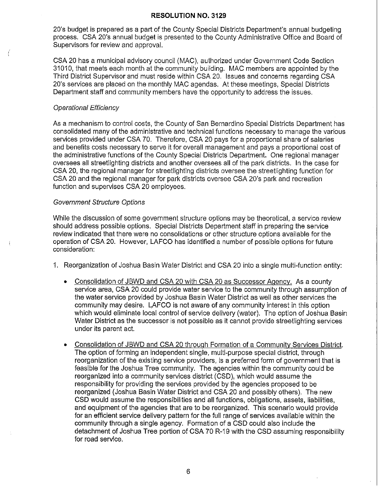20's budget is prepared as a part of the County Special Districts Department's annual budgeting process. CSA 20's annual budget is presented to the County Administrative Office and Board of Supervisors for review and approval.

CSA 20 has a municipal advisory council (MAC), authorized under Government Code Section 31010, that meets each month at the community building. MAC members are appointed by the Third District Supervisor and must reside within CSA 20. Issues and concerns regarding CSA 20's services are placed on the monthly MAC agendas. At these meetings, Special Districts Department staff and community members have the opportunity to address the issues.

### Operational Efficiency

As a mechanism to control costs, the County of San Bernardino Special Districts Department has consolidated many of the administrative and technical functions necessary to manage the various services provided under CSA 70. Therefore, CSA 20 pays for a proportional share of salaries and benefits costs necessary to serve it for overall management and pays a proportional cost of the administrative functions of the County Special Districts Department. One regional manager oversees all streetlighting districts and another oversees all of the park districts. In the case for CSA 20, the regional manager for streetlighting districts oversee the streetlighting function for CSA 20 and the regional manager for park districts oversee CSA 20's park and recreation function and supervises CSA 20 employees.

### Government Structure Options

While the discussion of some government structure options may be theoretical, a service review should address possible options. Special Districts Department staff in preparing the service review indicated that there were no consolidations or other structure options available for the operation of CSA 20. However, LAFCO has identified a number of possible options for future consideration:

- 1. Reorganization of Joshua Basin Water District and CSA 20 into a single multi-function entity:
	- Consolidation of JBWD and CSA 20 with CSA 20 as Successor Agency. As a county service area, CSA 20 could provide water service to the community through assumption of the water service provided by Joshua Basin Water District as well as other services the community may desire. LAFCO is not aware of any community interest in this option which would eliminate local control of service delivery (water). The option of Joshua Basin Water District as the successor is not possible as it cannot provide streetlighting services under its parent act.
	- Consolidation of JBWD and CSA 20 through Formation of a Community Services District. The option of forming an independent single, multi-purpose special district, through reorganization of the existing service providers, is a preferred form of government that is feasible for the Joshua Tree community. The agencies within the community could be reorganized into a community services district (CSD), which would assume the responsibility for providing the services provided by the agencies proposed to be reorganized (Joshua Basin Water District and CSA 20 and possibly others). The new CSD would assume the responsibilities and all functions, obligations, assets, liabilities, and equipment of the agencies that are to be reorganized. This scenario would provide for an efficient service delivery pattern for the full range of services available within the community through a single agency. Formation of a CSD could also include the detachment of Joshua Tree portion of CSA 70 R-19 with the CSD assuming responsibility for road service.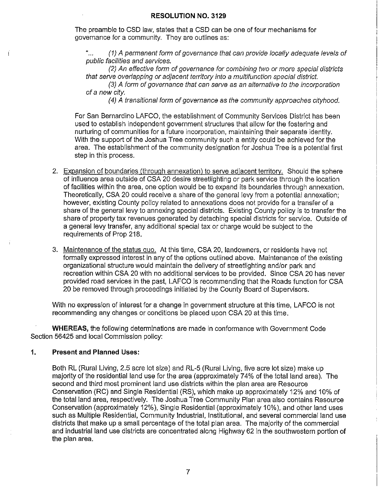The preamble to CSD law, states that a CSD can be one of four mechanisms for governance for a community. They are outlines as:

"... (1) A permanent form of governance that can provide locally adequate levels of public facilities and services.

(2) An effective form of governance for combining two or more special districts that serve overlapping or adjacent territory into a multifunction special district.

(3) A form of governance that can serve as an alternative to the incorporation of a new city.

(4) A transitional form of governance as the community approaches cityhood.

For San Bernardino LAFCO, the establishment of Community Services District has been used to establish independent government structures that allow for the fostering and nurturing of communities for a future incorporation, maintaining their separate identity. With the support of the Joshua Tree community such a entity could be achieved for the area. The establishment of the community designation for Joshua Tree is a potential first step in this process.

- 2. Expansion of boundaries (through annexation) to serve adjacent territory. Should the sphere of influence area outside of CSA 20 desire streetlighting or park service through the location of facilities within the area, one option would be to expand its boundaries through annexation. Theoretically, CSA 20 could receive a share of the general levy from a potential annexation; however, existing County policy related to annexations does not provide for a transfer of a share of the general levy to annexing special districts. Existing County policy is to transfer the share of property tax revenues generated by detaching special districts for service. Outside of a general levy transfer, any additional special tax or charge would be subject to the requirements of Prop 218.
- 3. Maintenance of the status quo. At this time, CSA 20, landowners, or residents have not formally expressed interest in any of the options outlined above. Maintenance of the existing organizational structure would maintain the delivery of streetlighting and/or park and recreation within CSA 20 with no additional services to be provided. Since CSA 20 has never provided road services in the past, LAFCO is recommending that the Roads function for CSA 20 be removed through proceedings initiated by the County Board of Supervisors.

With no expression of interest for a change in government structure at this time, LAFCO is not recommending any changes or conditions be placed upon CSA 20 at this time.

**WHEREAS,** the following determinations are made in conformance with Government Code Section 56425 and local Commission policy:

### **1. Present and Planned Uses:**

Both RL (Rural Living, 2.5 acre lot size) and RL-5 (Rural Living, five acre lot size) make up majority of the residential land use for the area (approximately 74% of the total land area). The second and third most prominent land use districts within the plan area are Resource Conservation (RC) and Single Residential (RS), which make up approximately 12% and 10% of the total land area, respectively. The Joshua Tree Community Plan area also contains Resource Conservation (approximately 12%), Single Residential (approximately 10%), and other land uses such as Multiple Residential, Community Industrial, Institutional, and several commercial land use districts that make up a small percentage of the total plan area. The majority of the commercial and industrial land use districts are concentrated along Highway 62 in the southwestern portion of the plan area.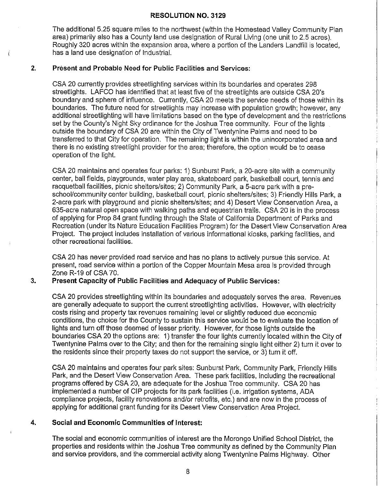The additional 5.25 square miles to the northwest (within the Homestead Valley Community Plan area) primarily also has a County land use designation of Rural Living ( one unit to 2.5 acres). Roughly 320 acres within the expansion area, where a portion of the Landers Landfill is located, has a land use designation of Industrial.

### **2. Present and Probable Need for Public Facilities and Services:**

CSA 20 currently provides streetlighting services within its boundaries and operates 298 streetlights. LAFCO has identified that at least five of the streetlights are outside CSA 20's boundary and sphere of influence. Currently, CSA 20 meets the service needs of those within its boundaries. The future need for streetlights may increase with population growth; however, any additional streetlighting will have limitations based on the type of development and the restrictions set by the County's Night Sky ordinance for the Joshua Tree community. Four of the lights outside the boundary of CSA 20 are within the City of Twentynine Palms and need to be transferred to that City for operation. The remaining light is within the unincorporated area and there is no existing streetlight provider for the area; therefore, the option would be to cease operation of the light.

CSA 20 maintains and operates four parks: 1) Sunburst Park, a 20-acre site with a community center, ball fields, playgrounds, water play area, skateboard park, basketball court, tennis and racquetball facilities, picnic shelters/sites; 2) Community Park, a 5-acre park with a preschool/community center building, basketball court, picnic shelters/sites; 3) Friendly Hills Park, a 2-acre park with playground and picnic shelters/sites; and 4) Desert View Conservation Area, a 635-acre natural open space with walking paths and equestrian trails. CSA 20 is in the process of applying for Prop 84 grant funding through the State of California Department of Parks and Recreation (under its Nature Education Facilities Program) for the Desert View Conservation Area Project. The project includes installation of various informational kiosks, parking facilities, and other recreational facilities.

CSA 20 has never provided road service and has no plans to actively pursue this service. At present, road service within a portion of the Copper Mountain Mesa area is provided through Zone R-19 of CSA 70.

### **3. Present Capacity of Public Facilities and Adequacy of Public Services:**

CSA 20 provides streetlighting within its boundaries and adequately serves the area. Revenues are generally adequate to support the current streetlighting activities. However, with electricity costs rising and property tax revenues remaining level or slightly reduced due economic conditions, the choice for the County to sustain this service would be to evaluate the location of lights and turn off those deemed of lesser priority. However, for those lights outside the boundaries CSA 20 the options are: 1) transfer the four lights currently located within the City of Twentynine Palms over to the City; and then for the remaining single light either 2) turn it over to the residents since their property taxes do not support the service, or 3) turn it off.

CSA 20 maintains and operates four park sites: Sunburst Park, Community Park, Friendly Hills Park, and the Desert View Conservation Area. These park facilities, including the recreational programs offered by CSA 20, are adequate for the Joshua Tree community. CSA 20 has implemented a number of CIP projects for its park facilities (i.e. irrigation systems, ADA compliance projects, facility renovations and/or retrofits, etc.) and are now in the process of applying for additional grant funding for its Desert View Conservation Area Project.

### **4. Social and Economic Communities of Interest:**

The social and economic communities of interest are the Morongo Unified School District, the properties and residents within the Joshua Tree community as defined by the Community Plan and service providers, and the commercial activity along Twentynine Palms Highway. Other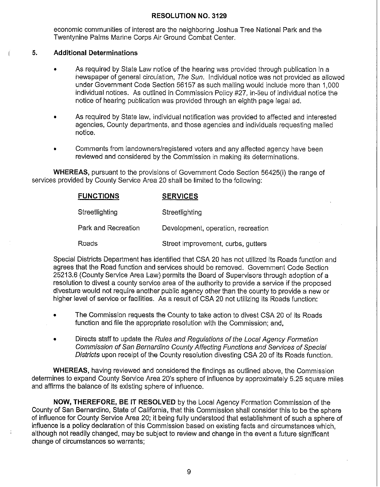economic communities of interest are the neighboring Joshua Tree National Park and the Twentynine Palms Marine Corps Air Ground Combat Center.

### **5. Additional Determinations**

- As required by State Law notice of the hearing was provided through publication in a newspaper of general circulation, The Sun. Individual notice was not provided as allowed under Government Code Section 56157 as such mailing would include more than 1,000 individual notices. As outlined in Commission Policy #27, in-lieu of individual notice the notice of hearing publication was provided through an eighth page legal ad.
- As required by State law, individual notification was provided to affected and interested agencies, County departments, and those agencies and individuals requesting mailed notice.
- Comments from landowners/registered voters and any affected agency have been reviewed and considered by the Commission in making its determinations.

**WHEREAS,** pursuant to the provisions of Government Code Section 56425(i) the range of services provided by County Service Area 20 shall be limited to the following:

| <b>FUNCTIONS</b>    | <b>SERVICES</b>                    |
|---------------------|------------------------------------|
| Streetlighting      | Streetlighting                     |
| Park and Recreation | Development, operation, recreation |
| Roads               | Street improvement, curbs, gutters |

Special Districts Department has identified that CSA 20 has not utilized its Roads function and agrees that the Road function and services should be removed. Government Code Section 25213.6 (County Service Area Law) permits the Board of Supervisors through adoption of a resolution to divest a county service area of the authority to provide a service if the proposed divesture would not require another public agency other than the county to provide a new or higher level of service or facilities. As a result of CSA 20 not utilizing its Roads function:

- The Commission requests the County to take action to divest CSA 20 of its Roads function and file the appropriate resolution with the Commission; and,
- Directs staff to update the Rules and Regulations of the Local Agency Formation Commission of San Bernardino County Affecting Functions and Services of Special Districts upon receipt of the County resolution divesting CSA 20 of its Roads function.

**WHEREAS,** having reviewed and considered the findings as outlined above, the Commission determines to expand County Service Area 20's sphere of influence by approximately 5.25 square miles and affirms the balance of its existing sphere of influence.

**NOW, THEREFORE, BE IT RESOLVED** by the Local Agency Formation Commission of the County of San Bernardino, State of California, that this Commission shall consider this to be the sphere of influence for County Service Area 20; it being fully understood that establishment of such a sphere of influence is a policy declaration of this Commission based on existing facts and circumstances which, although not readily changed, may be subject to review and change in the event a future significant change of circumstances so warrants;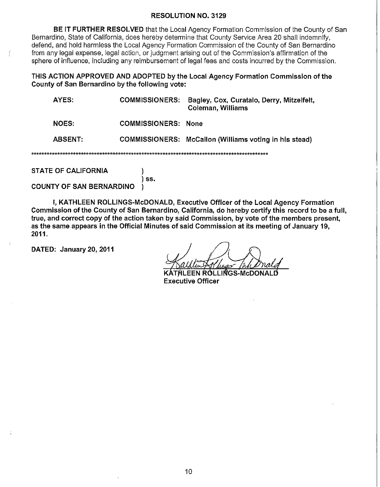**BE IT FURTHER RESOLVED** that the Local Agency Formation Commission of the County of San Bernardino, State of California, does hereby determine that County Service Area 20 shall indemnify, defend, and hold harmless the Local Agency Formation Commission of the County of San Bernardino from any legal expense, legal action, or judgment arising out of the Commission's affirmation of the sphere of influence, including any reimbursement of legal fees and costs incurred by the Commission.

**THIS ACTION APPROVED AND ADOPTED by the Local Agency Formation Commission of the County of San Bernardino by the following vote:** 

| AYES:        | <b>COMMISSIONERS:</b>      | Bagley, Cox, Curatalo, Derry, Mitzelfelt,<br><b>Coleman, Williams</b> |  |  |  |
|--------------|----------------------------|-----------------------------------------------------------------------|--|--|--|
| <b>NOES:</b> | <b>COMMISSIONERS: None</b> |                                                                       |  |  |  |
| ABSENT:      |                            | COMMISSIONERS: McCallon (Williams voting in his stead)                |  |  |  |
|              |                            |                                                                       |  |  |  |

**STATE OF CALIFORNIA** )

) **ss. COUNTY OF SAN BERNARDINO** )

I, **KATHLEEN ROLLINGS-McDONALD, Executive Officer of the Local Agency Formation Commission of the County of San Bernardino, California, do hereby certify this record to be a full, true, and correct copy of the action taken by said Commission, by vote of the members present, as the same appears in the Official Minutes of said Commission at its meeting of January 19, 2011.** 

**DATED: January 20, 2011** 

HLEEN ROLLIÑGS-McDOI **Executive Officer**